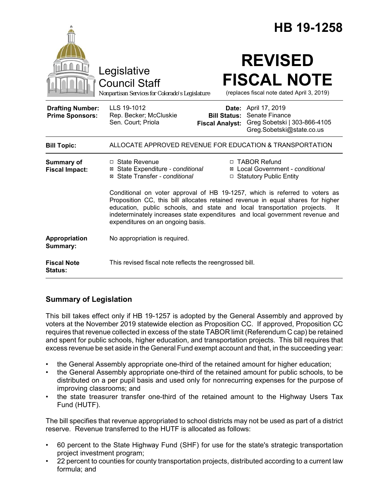|                                                   | HB 19-1258                                                                                                                                                                                                                                                                                                                                                              |
|---------------------------------------------------|-------------------------------------------------------------------------------------------------------------------------------------------------------------------------------------------------------------------------------------------------------------------------------------------------------------------------------------------------------------------------|
|                                                   | <b>REVISED</b><br>Legislative<br><b>FISCAL NOTE</b><br><b>Council Staff</b><br>(replaces fiscal note dated April 3, 2019)<br>Nonpartisan Services for Colorado's Legislature                                                                                                                                                                                            |
| <b>Drafting Number:</b><br><b>Prime Sponsors:</b> | LLS 19-1012<br><b>Date:</b> April 17, 2019<br>Senate Finance<br>Rep. Becker; McCluskie<br><b>Bill Status:</b><br>Sen. Court; Priola<br>Greg Sobetski   303-866-4105<br><b>Fiscal Analyst:</b><br>Greg.Sobetski@state.co.us                                                                                                                                              |
| <b>Bill Topic:</b>                                | ALLOCATE APPROVED REVENUE FOR EDUCATION & TRANSPORTATION                                                                                                                                                                                                                                                                                                                |
| <b>Summary of</b><br><b>Fiscal Impact:</b>        | $\Box$ State Revenue<br>□ TABOR Refund<br>⊠ State Expenditure - conditional<br>⊠ Local Government - conditional<br>⊠ State Transfer - conditional<br>□ Statutory Public Entity                                                                                                                                                                                          |
|                                                   | Conditional on voter approval of HB 19-1257, which is referred to voters as<br>Proposition CC, this bill allocates retained revenue in equal shares for higher<br>education, public schools, and state and local transportation projects.<br>- It<br>indeterminately increases state expenditures and local government revenue and<br>expenditures on an ongoing basis. |
| Appropriation<br>Summary:                         | No appropriation is required.                                                                                                                                                                                                                                                                                                                                           |
| <b>Fiscal Note</b><br><b>Status:</b>              | This revised fiscal note reflects the reengrossed bill.                                                                                                                                                                                                                                                                                                                 |

# **Summary of Legislation**

This bill takes effect only if HB 19-1257 is adopted by the General Assembly and approved by voters at the November 2019 statewide election as Proposition CC. If approved, Proposition CC requires that revenue collected in excess of the state TABOR limit (Referendum C cap) be retained and spent for public schools, higher education, and transportation projects. This bill requires that excess revenue be set aside in the General Fund exempt account and that, in the succeeding year:

- the General Assembly appropriate one-third of the retained amount for higher education;
- the General Assembly appropriate one-third of the retained amount for public schools, to be distributed on a per pupil basis and used only for nonrecurring expenses for the purpose of improving classrooms; and
- the state treasurer transfer one-third of the retained amount to the Highway Users Tax Fund (HUTF).

The bill specifies that revenue appropriated to school districts may not be used as part of a district reserve. Revenue transferred to the HUTF is allocated as follows:

- 60 percent to the State Highway Fund (SHF) for use for the state's strategic transportation project investment program;
- 22 percent to counties for county transportation projects, distributed according to a current law formula; and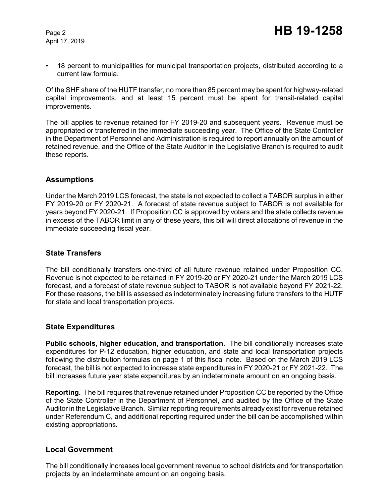April 17, 2019

• 18 percent to municipalities for municipal transportation projects, distributed according to a current law formula.

Of the SHF share of the HUTF transfer, no more than 85 percent may be spent for highway-related capital improvements, and at least 15 percent must be spent for transit-related capital improvements.

The bill applies to revenue retained for FY 2019-20 and subsequent years. Revenue must be appropriated or transferred in the immediate succeeding year. The Office of the State Controller in the Department of Personnel and Administration is required to report annually on the amount of retained revenue, and the Office of the State Auditor in the Legislative Branch is required to audit these reports.

### **Assumptions**

Under the March 2019 LCS forecast, the state is not expected to collect a TABOR surplus in either FY 2019-20 or FY 2020-21. A forecast of state revenue subject to TABOR is not available for years beyond FY 2020-21. If Proposition CC is approved by voters and the state collects revenue in excess of the TABOR limit in any of these years, this bill will direct allocations of revenue in the immediate succeeding fiscal year.

## **State Transfers**

The bill conditionally transfers one-third of all future revenue retained under Proposition CC. Revenue is not expected to be retained in FY 2019-20 or FY 2020-21 under the March 2019 LCS forecast, and a forecast of state revenue subject to TABOR is not available beyond FY 2021-22. For these reasons, the bill is assessed as indeterminately increasing future transfers to the HUTF for state and local transportation projects.

### **State Expenditures**

**Public schools, higher education, and transportation.** The bill conditionally increases state expenditures for P-12 education, higher education, and state and local transportation projects following the distribution formulas on page 1 of this fiscal note. Based on the March 2019 LCS forecast, the bill is not expected to increase state expenditures in FY 2020-21 or FY 2021-22. The bill increases future year state expenditures by an indeterminate amount on an ongoing basis.

**Reporting.** The bill requires that revenue retained under Proposition CC be reported by the Office of the State Controller in the Department of Personnel, and audited by the Office of the State Auditor in the Legislative Branch. Similar reporting requirements already exist for revenue retained under Referendum C, and additional reporting required under the bill can be accomplished within existing appropriations.

### **Local Government**

The bill conditionally increases local government revenue to school districts and for transportation projects by an indeterminate amount on an ongoing basis.